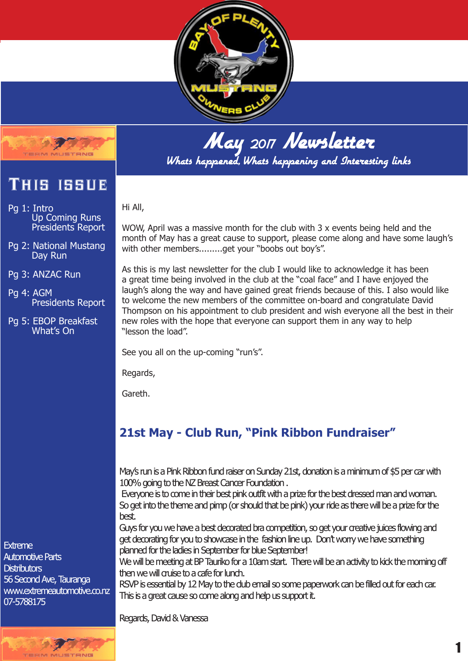



This issue

- Pg 1: Intro Up Coming Runs Presidents Report
- Pg 2: National Mustang Day Run
- Pg 3: ANZAC Run
- Pg 4: AGM Presidents Report
- Pg 5: EBOP Breakfast What's On

May 2017 Newsletter Whats happened, Whats happening and Interesting links

Hi All,

WOW, April was a massive month for the club with 3 x events being held and the month of May has a great cause to support, please come along and have some laugh's with other members.........get your "boobs out boy's".

As this is my last newsletter for the club I would like to acknowledge it has been a great time being involved in the club at the "coal face" and I have enjoyed the laugh's along the way and have gained great friends because of this. I also would like to welcome the new members of the committee on-board and congratulate David Thompson on his appointment to club president and wish everyone all the best in their new roles with the hope that everyone can support them in any way to help "lesson the load".

See you all on the up-coming "run's".

Regards,

Gareth.

# **21st May - Club Run, "Pink Ribbon Fundraiser"**

May's run is a Pink Ribbon fund raiser on Sunday 21st, donation is a minimum of \$5 per car with 100% going to the NZ Breast Cancer Foundation .

 Everyone is to come in their best pink outfit with a prize for the best dressed man and woman. So get into the theme and pimp (or should that be pink) your ride as there will be a prize for the best.

Guys for you we have a best decorated bra competition, so get your creative juices flowing and get decorating for you to showcase in the fashion line up. Don't worry we have something planned for the ladies in September for blue September!

We will be meeting at BP Tauriko for a 10am start. There will be an activity to kick the morning off then we will quise to a cafe for lunch.

RSVP is essential by 12 May to the club email so some paperwork can be filled out for each car. This is a great cause so come along and help us support it.

Regards, David & Vanessa

**Extreme** Automotive Parts **Distributors** 56 Second Ave, Tauranga www.extremeautomotive.co.nz 07-5788175

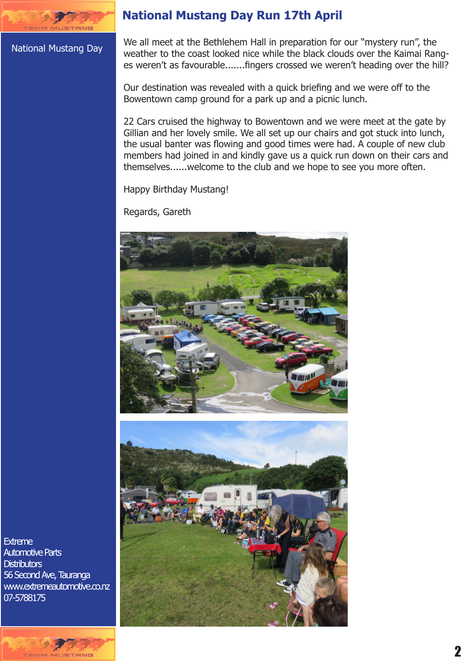#### National Mustang Day

## **National Mustang Day Run 17th April**

We all meet at the Bethlehem Hall in preparation for our "mystery run", the weather to the coast looked nice while the black clouds over the Kaimai Ranges weren't as favourable.......fingers crossed we weren't heading over the hill?

Our destination was revealed with a quick briefing and we were off to the Bowentown camp ground for a park up and a picnic lunch.

22 Cars cruised the highway to Bowentown and we were meet at the gate by Gillian and her lovely smile. We all set up our chairs and got stuck into lunch, the usual banter was flowing and good times were had. A couple of new club members had joined in and kindly gave us a quick run down on their cars and themselves......welcome to the club and we hope to see you more often.

Happy Birthday Mustang!

Regards, Gareth





Extreme Extreme Automotive Parts Automotive Parts Distributors Distributors 56 Second Ave, Tauranga www.extremeautomotive.co.nz 56 Second Ave, Taurangawww.extremeautomotive.co.nz 07-5788175 07-5788175

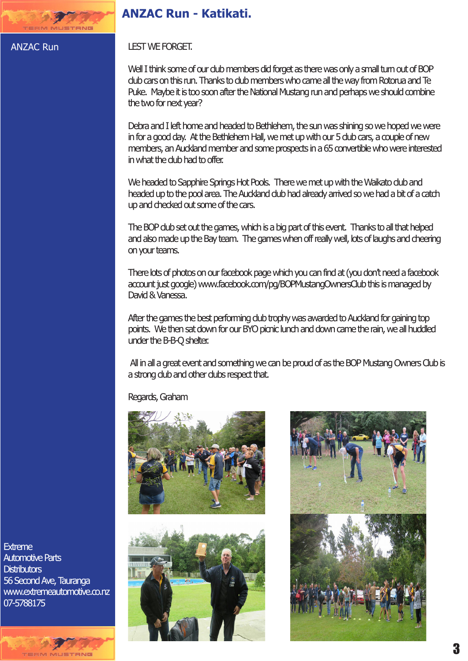## **ANZAC Run - Katikati.**

#### ANZAC Run

USTRNG

LEST WE FORGET.

Well I think some of our dub members did forget as there was only a small turn out of BOP club cars on this run. Thanks to club members who came all the way from Rotorua and Te Puke. Maybe it is too soon after the National Mustang run and perhaps we should combine the two for next year?

Debra and I left home and headed to Bethlehem, the sun was shining so we hoped we were in for a good day. At the Bethlehem Hall, we met up with our 5 club cars, a couple of new members, an Auckland member and some prospects in a 65 convertible who were interested in what the club had to offer.

We headed to Sapphire Springs Hot Pools. There we met up with the Waikato dub and headed up to the pool area. The Auckland club had already arrived so we had a bit of a catch up and checked out some of the cars.

The BOP club set out the games, which is a big part of this event. Thanks to all that helped and also made up the Bay team. The games when off really well, lots of laughs and cheering on your teams.

There lots of photos on our facebook page which you can find at (you don't need a facebook account just google) www.facebook.com/pg/BOPMustangOwnersClub this is managed by David & Vanessa.

After the games the best performing dub trophy was awarded to Auckland for gaining top points. We then sat down for our BYO picnic lunch and down came the rain, we all huddled under the B-B-Q shelter.

 All in all a great event and something we can be proud of as the BOP Mustang Owners Club is a strong club and other clubs respect that.

Regards, Graham







**Extreme** Automotive Parts **Distributors** 56 Second Ave, Tauranga www.extremeautomotive.co.nz 07-5788175

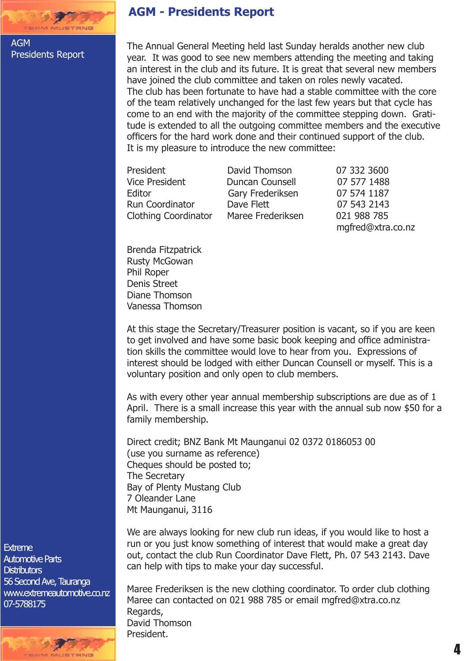

AGM Presidents Report

## **AGM - Presidents Report**

The Annual General Meeting held last Sunday heralds another new club year. It was good to see new members attending the meeting and taking an interest in the club and its future. It is great that several new members have joined the club committee and taken on roles newly vacated. The club has been fortunate to have had a stable committee with the core of the team relatively unchanged for the last few years but that cycle has come to an end with the majority of the committee stepping down. Gratitude is extended to all the outgoing committee members and the executive officers for the hard work done and their continued support of the club. It is my pleasure to introduce the new committee:

President **David Thomson** 07 332 3600 Vice President Duncan Counsell 07 577 1488<br>Editor Gary Frederiksen 07 574 1187 Editor Gary Frederiksen<br>Run Coordinator Dave Flett Run Coordinator **Dave Flett** 07 543 2143<br>Clothing Coordinator Maree Frederiksen 021 988 785 Clothing Coordinator Maree Frederiksen

mgfred@xtra.co.nz

Brenda Fitzpatrick Rusty McGowan Phil Roper Denis Street Diane Thomson Vanessa Thomson

At this stage the Secretary/Treasurer position is vacant, so if you are keen to get involved and have some basic book keeping and office administration skills the committee would love to hear from you. Expressions of interest should be lodged with either Duncan Counsell or myself. This is a voluntary position and only open to club members.

As with every other year annual membership subscriptions are due as of 1 April. There is a small increase this year with the annual sub now \$50 for a family membership.

Direct credit; BNZ Bank Mt Maunganui 02 0372 0186053 00 (use you surname as reference) Cheques should be posted to; The Secretary Bay of Plenty Mustang Club 7 Oleander Lane Mt Maunganui, 3116

We are always looking for new club run ideas, if you would like to host a run or you just know something of interest that would make a great day out, contact the club Run Coordinator Dave Flett, Ph. 07 543 2143. Dave can help with tips to make your day successful.

Maree Frederiksen is the new clothing coordinator. To order club clothing Maree can contacted on 021 988 785 or email mgfred@xtra.co.nz Regards, David Thomson President.

**Extreme** Automotive Parts **Distributors** 56 Second Ave, Tauranga www.extremeautomotive.co.nz 07-5788175